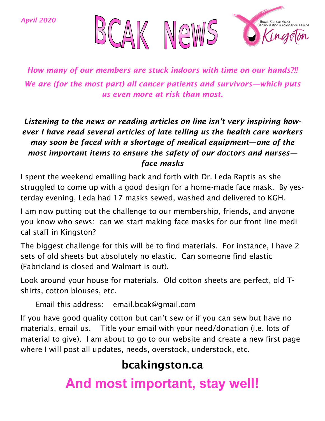*April 2020*



*How many of our members are stuck indoors with time on our hands?!! We are (for the most part) all cancer patients and survivors—which puts us even more at risk than most.*

## *Listening to the news or reading articles on line isn't very inspiring however I have read several articles of late telling us the health care workers may soon be faced with a shortage of medical equipment—one of the most important items to ensure the safety of our doctors and nurses face masks*

I spent the weekend emailing back and forth with Dr. Leda Raptis as she struggled to come up with a good design for a home-made face mask. By yesterday evening, Leda had 17 masks sewed, washed and delivered to KGH.

I am now putting out the challenge to our membership, friends, and anyone you know who sews: can we start making face masks for our front line medical staff in Kingston?

The biggest challenge for this will be to find materials. For instance, I have 2 sets of old sheets but absolutely no elastic. Can someone find elastic (Fabricland is closed and Walmart is out).

Look around your house for materials. Old cotton sheets are perfect, old Tshirts, cotton blouses, etc.

Email this address: email.bcak@gmail.com

If you have good quality cotton but can't sew or if you can sew but have no materials, email us. Title your email with your need/donation (i.e. lots of material to give). I am about to go to our website and create a new first page where I will post all updates, needs, overstock, understock, etc.

## bcakingston.ca

**And most important, stay well!**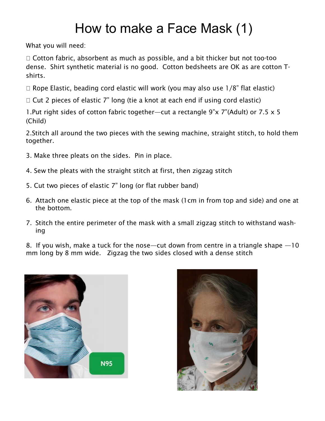## How to make a Face Mask (1)

What you will need:

 $\Box$  Cotton fabric, absorbent as much as possible, and a bit thicker but not too-too dense. Shirt synthetic material is no good. Cotton bedsheets are OK as are cotton Tshirts.

 $\Box$  Rope Elastic, beading cord elastic will work (you may also use  $1/8$ " flat elastic)

 $\Box$  Cut 2 pieces of elastic 7" long (tie a knot at each end if using cord elastic)

1.Put right sides of cotton fabric together—cut a rectangle 9"x 7"(Adult) or 7.5 x 5 (Child)

2.Stitch all around the two pieces with the sewing machine, straight stitch, to hold them together.

- 3. Make three pleats on the sides. Pin in place.
- 4. Sew the pleats with the straight stitch at first, then zigzag stitch
- 5. Cut two pieces of elastic 7" long (or flat rubber band)
- 6. Attach one elastic piece at the top of the mask (1cm in from top and side) and one at the bottom.
- 7. Stitch the entire perimeter of the mask with a small zigzag stitch to withstand washing

8. If you wish, make a tuck for the nose—cut down from centre in a triangle shape —10 mm long by 8 mm wide. Zigzag the two sides closed with a dense stitch